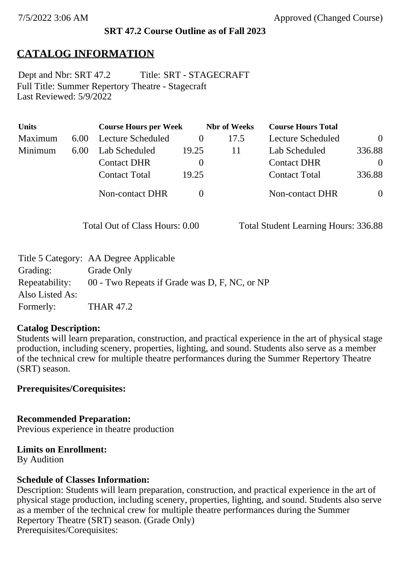#### **SRT 47.2 Course Outline as of Fall 2023**

## **CATALOG INFORMATION**

Full Title: Summer Repertory Theatre - Stagecraft Last Reviewed: 5/9/2022 Dept and Nbr: SRT 47.2 Title: SRT - STAGECRAFT

| <b>Units</b> |      | <b>Course Hours per Week</b> |          | <b>Nbr</b> of Weeks | <b>Course Hours Total</b> |          |
|--------------|------|------------------------------|----------|---------------------|---------------------------|----------|
| Maximum      | 6.00 | Lecture Scheduled            |          | 17.5                | Lecture Scheduled         | $\theta$ |
| Minimum      | 6.00 | Lab Scheduled                | 19.25    | 11                  | Lab Scheduled             | 336.88   |
|              |      | <b>Contact DHR</b>           | $\theta$ |                     | <b>Contact DHR</b>        | $\Omega$ |
|              |      | <b>Contact Total</b>         | 19.25    |                     | <b>Contact Total</b>      | 336.88   |
|              |      | Non-contact DHR              |          |                     | Non-contact DHR           | $\theta$ |

Total Out of Class Hours: 0.00 Total Student Learning Hours: 336.88

|                 | Title 5 Category: AA Degree Applicable        |
|-----------------|-----------------------------------------------|
| Grading:        | Grade Only                                    |
| Repeatability:  | 00 - Two Repeats if Grade was D, F, NC, or NP |
| Also Listed As: |                                               |
| Formerly:       | <b>THAR 47.2</b>                              |

#### **Catalog Description:**

Students will learn preparation, construction, and practical experience in the art of physical stage production, including scenery, properties, lighting, and sound. Students also serve as a member of the technical crew for multiple theatre performances during the Summer Repertory Theatre (SRT) season.

### **Prerequisites/Corequisites:**

**Recommended Preparation:** Previous experience in theatre production

#### **Limits on Enrollment:**

By Audition

### **Schedule of Classes Information:**

Description: Students will learn preparation, construction, and practical experience in the art of physical stage production, including scenery, properties, lighting, and sound. Students also serve as a member of the technical crew for multiple theatre performances during the Summer Repertory Theatre (SRT) season. (Grade Only) Prerequisites/Corequisites: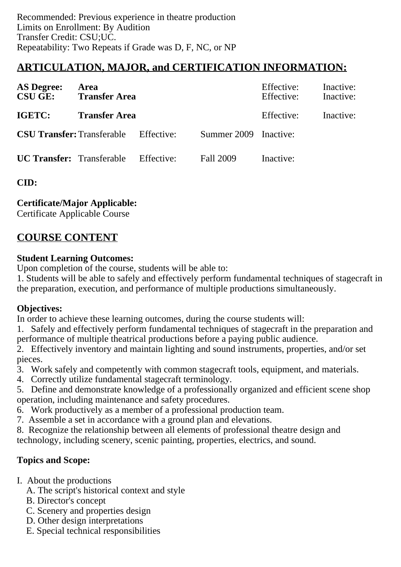# **ARTICULATION, MAJOR, and CERTIFICATION INFORMATION:**

| <b>AS Degree:</b> | Area<br><b>CSU GE:</b> Transfer Area         |  |                       | Effective:<br>Effective: | Inactive:<br>Inactive: |
|-------------------|----------------------------------------------|--|-----------------------|--------------------------|------------------------|
| <b>IGETC:</b>     | <b>Transfer Area</b>                         |  |                       | Effective:               | Inactive:              |
|                   | <b>CSU Transfer:</b> Transferable Effective: |  | Summer 2009 Inactive: |                          |                        |
|                   | <b>UC Transfer:</b> Transferable Effective:  |  | Fall 2009             | Inactive:                |                        |

**CID:**

### **Certificate/Major Applicable:**

[Certificate Applicable Course](SR_ClassCheck.aspx?CourseKey=SRT47.2)

# **COURSE CONTENT**

### **Student Learning Outcomes:**

Upon completion of the course, students will be able to:

1. Students will be able to safely and effectively perform fundamental techniques of stagecraft in the preparation, execution, and performance of multiple productions simultaneously.

### **Objectives:**

In order to achieve these learning outcomes, during the course students will:

1. Safely and effectively perform fundamental techniques of stagecraft in the preparation and performance of multiple theatrical productions before a paying public audience.

2. Effectively inventory and maintain lighting and sound instruments, properties, and/or set pieces.

- 3. Work safely and competently with common stagecraft tools, equipment, and materials.
- 4. Correctly utilize fundamental stagecraft terminology.
- 5. Define and demonstrate knowledge of a professionally organized and efficient scene shop operation, including maintenance and safety procedures.
- 6. Work productively as a member of a professional production team.
- 7. Assemble a set in accordance with a ground plan and elevations.

8. Recognize the relationship between all elements of professional theatre design and technology, including scenery, scenic painting, properties, electrics, and sound.

### **Topics and Scope:**

- I. About the productions
	- A. The script's historical context and style
	- B. Director's concept
	- C. Scenery and properties design
	- D. Other design interpretations
	- E. Special technical responsibilities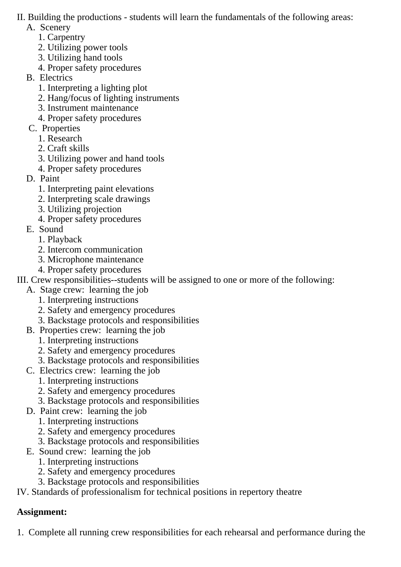### II. Building the productions - students will learn the fundamentals of the following areas:

- A. Scenery
	- 1. Carpentry
	- 2. Utilizing power tools
	- 3. Utilizing hand tools
	- 4. Proper safety procedures
- B. Electrics
	- 1. Interpreting a lighting plot
	- 2. Hang/focus of lighting instruments
	- 3. Instrument maintenance
	- 4. Proper safety procedures
- C. Properties
	- 1. Research
	- 2. Craft skills
	- 3. Utilizing power and hand tools
	- 4. Proper safety procedures
- D. Paint
	- 1. Interpreting paint elevations
	- 2. Interpreting scale drawings
	- 3. Utilizing projection
	- 4. Proper safety procedures
- E. Sound
	- 1. Playback
	- 2. Intercom communication
	- 3. Microphone maintenance
	- 4. Proper safety procedures
- III. Crew responsibilities--students will be assigned to one or more of the following:
	- A. Stage crew: learning the job
		- 1. Interpreting instructions
		- 2. Safety and emergency procedures
		- 3. Backstage protocols and responsibilities
	- B. Properties crew: learning the job
		- 1. Interpreting instructions
		- 2. Safety and emergency procedures
		- 3. Backstage protocols and responsibilities
	- C. Electrics crew: learning the job
		- 1. Interpreting instructions
		- 2. Safety and emergency procedures
		- 3. Backstage protocols and responsibilities
	- D. Paint crew: learning the job
		- 1. Interpreting instructions
		- 2. Safety and emergency procedures
		- 3. Backstage protocols and responsibilities
	- E. Sound crew: learning the job
		- 1. Interpreting instructions
		- 2. Safety and emergency procedures
		- 3. Backstage protocols and responsibilities

IV. Standards of professionalism for technical positions in repertory theatre

# **Assignment:**

1. Complete all running crew responsibilities for each rehearsal and performance during the